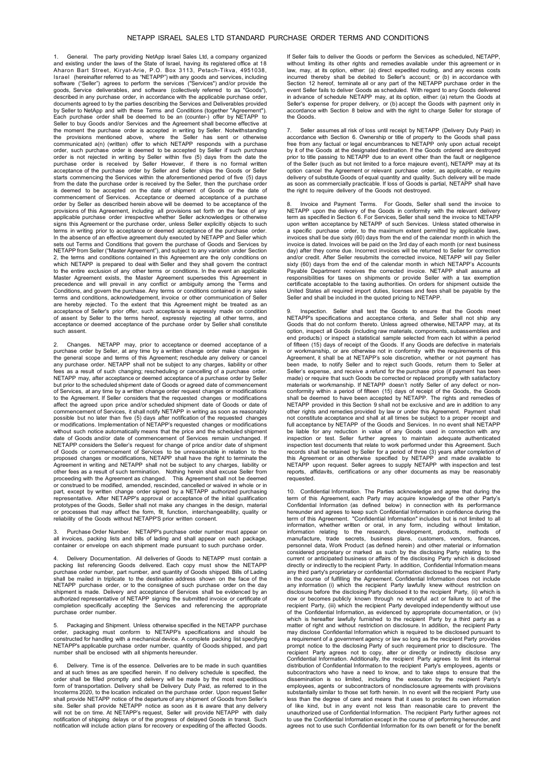## NETAPP ISRAEL SALES LTD STANDARD PURCHASE ORDER TERMS AND CONDITIONS

General. The party providing NetApp Israel Sales Ltd, a company organized and existing under the laws of the State of Israel, having its registered office at 18<br>Aharon Bart Street, Kiryat-Arie, P.O. Box 3113, Petach-Tikva, 4951038,<br>Israel (hereinafter referred to as "NETAPP") with any goods and documents agreed to by the parties describing the Services and Deliverables provided by Seller to NetApp and with these Terms and Conditions (together "Agreement"). Each purchase order shall be deemed to be an (counter-) offer by NETAPP to<br>Seller to buy Goods and/or Services and the Agreement shall become effective at<br>the moment the purchase order is accepted in writing by Seller. Not the provisions mentioned above, where the Seller has sent or otherwise<br>communicated a(n) (written) offer to which NETAPP responds with a purchase<br>order, such purchase order is deemed to be accepted by Seller if such purcha purchase order is received by Seller However, if there is no formal written acceptance of the purchase order by Seller and Seller ships the Goods or Seller starts commencing the Services within the aforementioned period of five (5) days from the date the purchase order is received by the Seller, then the purchase order is deemed to be accepted on the date of shipment of Goods or the date of commencement of Services. Acceptance or deemed acceptance of a purchase order by Seller as described herein above will be deemed to be acceptance of the provisions of this Agreement, including all provisions set forth on the face of any applicable purchase order irrespective whether Seller acknowledges or otherwise signs this Agreement or the purchase order, unless Seller explicitly objects to such terms in writing prior to acceptance or deemed acceptance of the purchase order. In the absence of an effective agreement duly executed by NETAPP and Seller which sets out Terms and Conditions that govern the purchase of Goods and Services by<br>NETAPP from Seller ("Master Agreement"), and subject to any variation under Section 2, the terms and conditions contained in this Agreement are the only conditions on which NETAPP is prepared to deal with Seller and they shall govern the contract to the entire exclusion of any other terms or conditions. In the event an applicable Master Agreement exists, the Master Agreement supersedes this Agreement in precedence and will prevail in any conflict or ambiguity among the Terms and Conditions, and govern the purchase. Any terms or conditions contained in any sales terms and conditions, acknowledgement, invoice or other communication of Seller are hereby rejected. To the extent that this Agreement might be treated as an acceptance of Seller's prior offer, such acceptance is expressly made on condition<br>of assent by Seller to the terms hereof, expressly rejecting all other terms, and<br>acceptance or deemed acceptance of the purchase order by such assent

2. Changes. NETAPP may, prior to acceptance or deemed acceptance of a purchase order by Seller, at any time by a written change order make changes in<br>the general scope and terms of this Agreement; reschedule any delivery or cancel<br>any purchase order. NETAPP shall not be subject to any charge fectually changed that the changing; rescheduling or cancelling of a purchase order. NETAPP may, after acceptance or deemed acceptance of a purchase order by Seller but prior to the scheduled shipment date of Goods or agreed date of commencement of Services, at any time by a written change order request changes or modifications to the Agreement. If Seller considers that the requested changes or modifications affect the agreed upon price and/or scheduled shipment date of Goods or date of commencement of Services, it shall notify NETAPP in writing as soon as reasonably possible but no later than five (5) days after notification of the requested changes or modifications. Implementation of NETAPP's requested changes or modifications without such notice automatically means that the price and the scheduled shipment date of Goods and/or date of commencement of Services remain unchanged. If NETAPP considers the Seller's request for change of price and/or date of shipment of Goods or commencement of Services to be unreasonable in relation to the<br>proposed changes or modifications, NETAPP shall have the right to terminate the<br>Agreement in writing and NETAPP shall not be subject to any ch other fees as a result of such termination. Nothing herein shall excuse Seller from proceeding with the Agreement as changed. This Agreement shall not be deemed or construed to be modified, amended, rescinded, cancelled or waived in whole or in part, except by written change order signed by a NETAPP authorized purchasing representative. After NETAPP's approval or acceptance of the initial qualification prototypes of the Goods, Seller shall not make any changes in the design, material<br>or processes that may affect the form, fit, function, interchangeability, quality or<br>reliability of the Goods without NETAPP'S prior writte

3. Purchase Order Number. NETAPP's purchase order number must appear on all invoices, packing lists and bills of lading and shall appear on each package, container or envelope on each shipment made pursuant to such purchase order.

Delivery Documentation. All deliveries of Goods to NETAPP must contain a packing list referencing Goods delivered. Each copy must show the NETAPP purchase order number, part number, and quantity of Goods shipped. Bills of Lading shall be mailed in triplicate to the destination address shown on the face of the number in approach to the consignee of such purchase order on the day shipment is made. Delivery and acceptance of Services shall be evidenced by an<br>authorized representative of NETAPP signing the submitted invoice or certificate of<br>completion specifically accepting the Services and refere purchase order number.

Packaging and Shipment. Unless otherwise specified in the NETAPP purchase order, packaging must conform to NETAPP's specifications and should be constructed for handling with a mechanical device. A complete packing list specifying NETAPP's applicable purchase order number, quantity of Goods shipped, and part number shall be enclosed with all shipments hereunder.

Delivery. Time is of the essence. Deliveries are to be made in such quantities and at such times as are specified herein. If no delivery schedule is specified, the order shall be filled promptly and delivery will be made by the most expeditious<br>form of transportation. Delivery shall be Delivery Duty Paid, as referred to in the<br>Incoterms2020, to the location indicated on the purchase shall provide NETAPP notice of the departure of any shipment of Goods from Seller's site. Seller shall provide NETAPP notice as soon as it is aware that any delivery will not be on time. At NETAPP's request, Seller will provide NETAPP with daily notification of shipping delays or of the progress of delayed Goods in transit. Such notification will include action plans for recovery or expediting of the affected Goods.

If Seller fails to deliver the Goods or perform the Services as scheduled, NETAPP, without limiting its other rights and remedies available under this agreement or in law, may, at its option, either: (a) direct expedited routing, and any excess costs incurred thereby shall be debited to Seller's account; or (b) in accordance with Section 12 hereof, terminate all or any part of the NETAPP purchase order in the event Seller fails to deliver Goods as scheduled. With regard to any Goods delivered in advance of schedule NETAPP may, at its option, either: (a) return the Goods at Seller's expense for proper delivery, or (b) accept the Goods with payment only in accordance with Section 8 below and with the right to charge Seller for storage of the Goods.

Seller assumes all risk of loss until receipt by NETAPP (Delivery Duty Paid) in accordance with Section 6. Ownership or title of property to the Goods shall pass free from any factual or legal encumbrances to NETAPP only upon actual receipt by it of the Goods at the designated destination. If the Goods ordered are destroyed prior to title passing to NETAPP due to an event other than the fault or negligence of the Seller (such as but not limited to a force majeure event), NETAPP may at its option cancel the Agreement or relevant purchase order, as applicable, or require delivery of substitute Goods of equal quantity and quality. Such delivery will be made as soon as commercially practicable. If loss of Goods is partial, NETAPP shall have the right to require delivery of the Goods not destroyed.

8. Invoice and Payment Terms. For Goods, Seller shall send the invoice to<br>NETAPP upon the delivery of the Goods in conformity with the relevant delivery<br>term as specified in Section 6. For Services, Seller shall send the i upon written acceptance by NETAPP of such Services. Unless stated otherwise in a specific purchase order, to the maximum extent permitted by applicable laws, invoices shall be due sixty (60) days from the end of the calendar month in which the invoice is dated. Invoices will be paid on the 3rd day of each month (or next business day) after they come due. Incorrect invoices will be returned to Seller for correction and/or credit. After Seller resubmits the corrected invoice, NETAPP will pay Seller<br>sixty (60) days from the end of the calendar month in which NETAPP's Accounts Payable Department receives the corrected invoice. NETAPP shall assume all<br>responsibilities for taxes on shipments or provide Seller with a tax exemption<br>certificate acceptable to the taxing authorities. On orders for ship United States all required import duties, licenses and fees shall be payable by the Seller and shall be included in the quoted pricing to NETAPP.

Inspection. Seller shall test the Goods to ensure that the Goods meet NETAPP's specifications and acceptance criteria, and Seller shall not ship any Goods that do not conform thereto. Unless agreed otherwise, NETAPP may, at its option, inspect all Goods (including raw materials, components, subassemblies and end products) or inspect a statistical sample selected from each lot within a period of fifteen (15) days of receipt of the Goods. If any Goods are defective in materials or workmanship, or are otherwise not in conformity with the requirements of this Agreement, it shall be at NETAPP's sole discretion, whether or not payment has been made, to notify Seller and to reject such Goods, return them to Seller at Seller's expense, and receive a refund for the purchase price (if payment has been made) or require that such Goods be corrected or replaced promptly with satisfactory materials or workmanship. If NETAPP doesn't notify Seller of any defect or nonconformity within a period of fifteen (15) days of receipt of the Goods, the Goods shall be deemed to have been accepted by NETAPP. The rights and remedies of NETAPP provided in this Section 9 shall not be exclusive and are in addition to any other rights and remedies provided by law or under this Agreement. Payment shall not constitute acceptance and shall at all times be subject to a proper receipt and full acceptance by NETAPP of the Goods and Services. In no event shall NETAPP be liable for any reduction in value of any Goods used in connection with any inspection or test. Seller further agrees to maintain adequate authenticated inspection test documents that relate to work performed under this Agreement. Such records shall be retained by Seller for a period of three (3) years after completion of this Agreement or as otherwise specified by NETAPP and made available to NETAPP upon request. Seller agrees to supply NETAPP with inspection and test reports, affidavits, certifications or any other documents as may be reasonably requested.

10. Confidential Information. The Parties acknowledge and agree that during the term of this Agreement, each Party may acquire knowledge of the other Party's Confidential Information (as defined below) in connection with its performance hereunder and agrees to keep such Confidential Information in confidence during the term of this Agreement. "Confidential Information" includes but is not limited to all information, whether written or oral, in any form, including without limitation, information relating to the research, development, products, methods of manufacture, trade secrets, business plans, customers, vendors, finances, personnel data, Work Product (as defined herein) and other material or information considered proprietary or marked as such by the disclosing Party relating to the current or anticipated business or affairs of the disclosing Party which is disclosed directly or indirectly to the recipient Party. In addition, Confidential Information means any third party's proprietary or confidential information disclosed to the recipient Party in the course of fulfilling the Agreement. Confidential Information does not include any information (i) which the recipient Party lawfully knew without restriction on disclosure before the disclosing Party disclosed it to the recipient Party, (ii) which is now or becomes publicly known through no wrongful act or failure to act of the recipient Party, (iii) which the recipient Party developed independently without use of the Confidential Information, as evidenced by appropriate documentation, or (iv) which is hereafter lawfully furnished to the recipient Party by a third party as a matter of right and without restriction on disclosure. In addition, the recipient Party may disclose Confidential Information which is required to be disclosed pursuant to a requirement of a government agency or law so long as the recipient Party provides prompt notice to the disclosing Party of such requirement prior to disclosure. The recipient Party agrees not to copy, alter or directly or indirectly disclose any Confidential Information. Additionally, the recipient Party agrees to limit its internal distribution of Confidential Information to the recipient Party's employees, agents or subcontractors who have a need to know, and to take steps to ensure that the dissemination is so limited, including the execution by the recipient Party's employees, agents or subcontractors of nondisclosure agreements with provisions substantially similar to those set forth herein. In no event will the recipient Party use less than the degree of care and means that it uses to protect its own information of like kind, but in any event not less than reasonable care to prevent the unauthorized use of Confidential Information. The recipient Party further agrees not to use the Confidential Information except in the course of performing hereunder, and agrees not to use such Confidential Information for its own benefit or for the benefit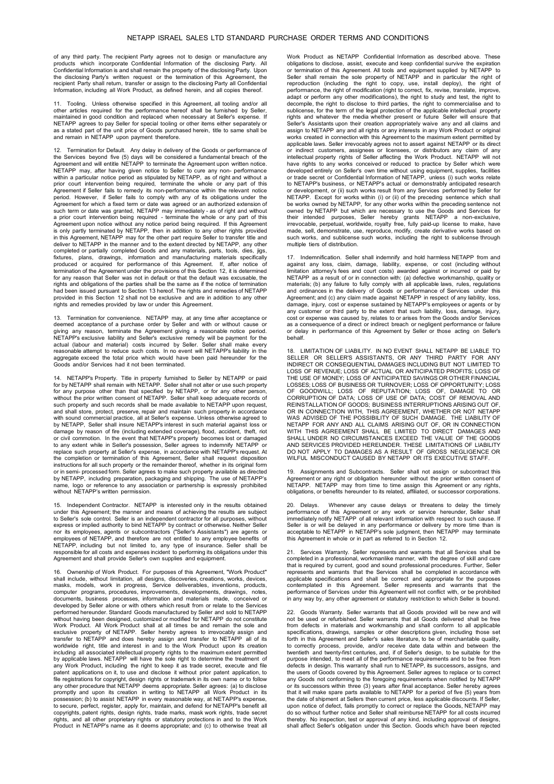of any third party. The recipient Party agrees not to design or manufacture any products which incorporate Confidential Information of the disclosing Party. All Confidential Information is and shall remain the property of the disclosing Party. Upon the disclosing Party's written request or the termination of this Agreement, the recipient Party shall return, transfer or assign to the disclosing Party all Confidential Information, including all Work Product, as defined herein, and all copies thereof.

11. Tooling. Unless otherwise specified in this Agreement, all tooling and/or all other articles required for the performance hereof shall be furnished by Seller, maintained in good condition and replaced when necessary at Seller's expense. If NETAPP agrees to pay Seller for special tooling or other items either separately or as a stated part of the unit price of Goods purchased herein, title to same shall be and remain in NETAPP upon payment therefore.

12. Termination for Default. Any delay in delivery of the Goods or performance of the Services beyond five (5) days will be considered a fundamental breach of the Agreement and will entitle NETAPP to terminate the Agreement upon written notice. NETAPP may, after having given notice to Seller to cure any non- performance within a particular notice period as stipulated by NETAPP, as of right and without a prior court intervention being required, terminate the whole or any part of this Agreement if Seller fails to remedy its non-performance within the relevant notice period. However, if Seller fails to comply with any of its obligations under the<br>Agreement for which a fixed term or date was agreed or an authorized extension of<br>such term or date was granted, NETAPP may immediately - as Agreement upon notice without any notice period being required. If this Agreement is only partly terminated by NETAPP, then in addition to any other rights provided in this Agreement, NETAPP may for the other part require Seller to transfer title and deliver to NETAPP in the manner and to the extent directed by NETAPP, any other completed or partially completed Goods and any materials, parts, tools, dies, jigs, fixtures, plans, drawings, information and manufacturing materials specifically produced or acquired for performance of this Agreement. If, after notice of termination of the Agreement under the provisions of this Section 12, it is determined for any reason that Seller was not in default or that the default was excusable, the rights and obligations of the parties shall be the same as if the notice of termination had been issued pursuant to Section 13 hereof. The rights and remedies of NETAPP provided in this Section 12 shall not be exclusive and are in addition to any other rights and remedies provided by law or under this Agreement.

13. Termination for convenience. NETAPP may, at any time after acceptance or deemed acceptance of a purchase order by Seller and with or without cause or giving any reason, terminate the Agreement giving a reasonable notice period.<br>NETAPP's exclusive liability and Seller's exclusive remedy will be payment for the<br>actual (labour and material) costs incurred by Seller. Seller reasonable attempt to reduce such costs. In no event will NETAPP's liability in the aggregate exceed the total price which would have been paid hereunder for the Goods and/or Services had it not been terminated.

14. NETAPP's Property. Title in property furnished to Seller by NETAPP or paid for by NETAPP shall remain with NETAPP. Seller shall not alter or use such property for any purpose other than that specified by NETAPP, or for any other person, without the prior written consent of NETAPP. Seller shall keep adequate records of such property and such records shall be made available to NETAPP upon request, and shall store, protect, preserve, repair and maintain such property in accordance with sound commercial practice, all at Seller's expense. Unless otherwise agreed to by NETAPP, Seller shall insure NETAPP's interest in such material against loss or damage by reason of fire (including extended coverage), flood, accident, theft, riot or civil commotion. In the event that NETAPP's property becomes lost or damaged to any extent while in Seller's possession, Seller agrees to indemnify NETAPP or replace such property at Seller's expense, in accordance with NETAPP's request. At the completion or termination of this Agreement, Seller shall request disposition instructions for all such property or the remainder thereof, whether in its original form or in semi- processed form. Seller agrees to make such property available as directed by NETAPP, including preparation, packaging and shipping. The use of NETAPP's name, logo or reference to any association or partnership is expressly prohibited without NETAPP's written permission.

15. Independent Contractor. NETAPP is interested only in the results obtained under this Agreement; the manner and means of achieving the results are subject to Seller's sole control. Seller is an independent contractor for all purposes, without express or implied authority to bind NETAPP by contract or otherwise. Neither Seller nor its employees, agents or subcontractors ("Seller's Assistants") are agents or employees of NETAPP, and therefore are not entitled to any employee benefits of NETAPP, including but not limited to, any type of insurance. Seller shall be responsible for all costs and expenses incident to performing its obligations under this Agreement and shall provide Seller's own supplies and equipment.

16. Ownership of Work Product. For purposes of this Agreement, "Work Product" shall include, without limitation, all designs, discoveries, creations, works, devices, masks, models, work in progress, Service deliverables, inventions, products, computer programs, procedures, improvements, developments, drawings, notes, documents, business processes, information and materials made, conceived or developed by Seller alone or with others which result from or relate to the Services performed hereunder. Standard Goods manufactured by Seller and sold to NETAPP without having been designed, customized or modified for NETAPP do not constitute Work Product. All Work Product shall at all times be and remain the sole and exclusive property of NETAPP. Seller hereby agrees to irrevocably assign and<br>transfer to NETAPP and does hereby assign and transfer to NETAPP all of its<br>worldwide right, title and interest in and to the Work Product upon i including all associated intellectual property rights to the maximum extent permitted by applicable laws. NETAPP will have the sole right to determine the treatment of any Work Product, including the right to keep it as trade secret, execute and file patent applications on it, to use and disclose it without prior patent application, to file registrations for copyright, design rights or trademark in its own name or to follow<br>any other procedure that NETAPP deems appropriate. Seller agrees: (a) to disclose<br>promptly and upon its creation in writing to NETAP copyrights, patent rights, design rights, trade marks, mask work rights, trade secret rights, and all other proprietary rights or statutory protections in and to the Work Product in NETAPP's name as it deems appropriate; and (c) to otherwise treat all

Work Product as NETAPP Confidential Information as described above. These obligations to disclose, assist, execute and keep confidential survive the expiration or termination of this Agreement. All tools and equipment supplied by NETAPP to Seller shall remain the sole property of NETAPP and in particular the right of reproduction (including the right to copy, use, install deploy), the right of<br>performance, the right of modification (right to correct, fix, revise, translate, improve,<br>adapt or perform any other modifications), the right decompile, the right to disclose to third parties, the right to commercialise and to sublicense, for the term of the legal protection of the applicable intellectual property rights and whatever the media whether present or future Seller will ensure that Seller's Assistants upon their creation appropriately waive any and all claims and assign to NETAPP any and all rights or any interests in any Work Product or original works created in connection with this Agreement to the maximum extent permitted by applicable laws. Seller irrevocably agrees not to assert against NETAPP or its direct<br>or indirect customers, assignees or licensees, or distributors any claim of any<br>intellectual property rights of Seller affe have rights to any works conceived or reduced to practice by Seller which were developed entirely on Seller's own time without using equipment, supplies, facilities or trade secret or Confidential Information of NETAPP, unless (i) such works relate to NETAPP's business, or NETAPP's actual or demonstrably anticipated research or development, or (ii) such works result from any Services performed by Seller for NETAPP. Except for works within (i) or (ii) of the preceding sentence which shall be works owned by NETAPP, for any other works within the preceding sentence not owned by NETAPP but which are necessary to use the Goods and Services for<br>their intended purposes, Seller hereby grants NETAPP a non-exclusive,<br>irrevocable, perpetual, worldwide, royalty free, fully paid-up lice made, sell, demonstrate, use, reproduce, modify, create derivative works based on such works, and sublicense such works, including the right to sublicense through multiple tiers of distribution.

17. Indemnification. Seller shall indemnify and hold harmless NETAPP from and against any loss, claim, damage, liability, expense, or cost (including without limitation attorney's fees and court costs) awarded against or incurred or paid by NETAPP as a result of or in connection with: (a) defective workmanship, quality or materials; (b) any failure to fully comply with all applicable laws, rules, regulations<br>and ordinances in the delivery of Goods or performance of Services under this<br>Agreement, and (c) any claim made against NETAPP in resp cost or expense was caused by, relates to or arises from the Goods and/or Services as a consequence of a direct or indirect breach or negligent performance or failure or delay in performance of this Agreement by Seller or those acting on Seller's behalf.

18. LIMITATION OF LIABILITY. IN NO EVENT SHALL NETAPP BE LIABLE TO SELLER OR SELLER'S ASSISTANTS, OR ANY THIRD PARTY FOR ANY INDIRECT OR CONSEQUENTIAL DAMAGES INCLUDING BUT NOT LIMITED TO LOSS OF REVENUE; LOSS OF ACTUAL OR ANTICIPATED PROFITS; LOSS OF THE USE OF MONEY; LOSS OF ANTICIPATED SAVINGS OR OTHER FINANCIAL LOSSES; LOSS OF BUSINESS OR TURNOVER; LOSS OF OPPORTUNITY; LOSS OF GOODWILL; LOSS OF REPUTATION; LOSS OF, DAMAGE TO OR CORRUPTION OF DATA; LOSS OF USE OF DATA; COST OF REMOVAL AND REINSTALLATION OF GOODS; BUSINESS INTERRUPTIONS ARISING OUT OF, OR IN CONNECTION WITH, THIS AGREEMENT, WHETHER OR NOT NETAPP WAS ADVISED OF THE POSSIBILITY OF SUCH DAMAGE. THE LIABILITY OF<br>NETAPP FOR ANY AND ALL CLAIMS ARISING OUT OF, OR IN CONNECTION<br>WITH THIS AGREEMENT SHALL BE LIMITED TO DIRECT DAMAGES AND SHALL UNDER NO CIRCUMSTANCES EXCEED THE VALUE OF THE GOODS AND SERVICES PROVIDED HEREUNDER. THESE LIMITATIONS OF LIABILITY DO NOT APPLY TO DAMAGES AS A RESULT OF GROSS NEGLIGENCE OR WILFUL MISCONDUCT CAUSED BY NETAPP OR ITS EXECUTIVE STAFF.

19. Assignments and Subcontracts. Seller shall not assign or subcontract this Agreement or any right or obligation hereunder without the prior written consent of NETAPP. NETAPP may from time to time assign this Agreement or any rights, obligations, or benefits hereunder to its related, affiliated, or successor corporations.

20. Delays. Whenever any cause delays or threatens to delay the timely performance of this Agreement or any work or service hereunder, Seller shall immediately notify immediately notify NETAPP of all relevant information w

21. Services Warranty. Seller represents and warrants that all Services shall be completed in a professional, workmanlike manner, with the degree of skill and care that is required by current, good and sound professional procedures. Further, Seller represents and warrants that the Services shall be completed in accordance with applicable specifications and shall be correct and appropriate for the purposes contemplated in this Agreement. Seller represents and warrants that the performance of Services under this Agreement will not conflict with, or be prohibited in any way by, any other agreement or statutory restriction to which Seller is bound.

22. Goods Warranty. Seller warrants that all Goods provided will be new and will not be used or refurbished. Seller warrants that all Goods delivered shall be free from defects in materials and workmanship and shall conform to all applicable specifications, drawings, samples or other descriptions given, including those set forth in this Agreement and Seller's sales literature, to be of merchantable quality, to correctly process, provide, and/or receive date data within and between the twentieth and twenty-first centuries, and, if of Seller's design, to be suitable for the purpose intended, to meet all of the performance requirements and to be free from defects in design. This warranty shall run to NETAPP, its successors, assigns, and the users of Goods covered by this Agreement. Seller agrees to replace or to correct any Goods not conforming to the foregoing requirements when notified by NETAPP or its successors within three (3) years after final acceptance. Seller hereby agrees that it will make spare parts available to NETAPP for a period of five (5) years from the date of shipment at Sellers then current price, less applicable discounts. If Seller, upon notice of defect, fails promptly to correct or replace the Goods, NETAPP may do so without further notice and Seller shall reimburse NETAPP for all costs incurred thereby. No inspection, test or approval of any kind, including approval of designs, shall affect Seller's obligation under this Section. Goods which have been rejected